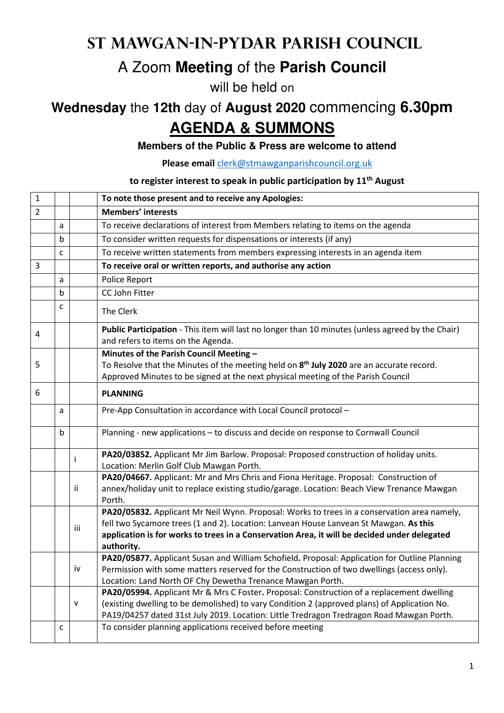## **St Mawgan-in-Pydar Parish Council**

## A Zoom **Meeting** of the **Parish Council**

will be held on

# **Wednesday** the **12th** day of **August 2020** commencing **6.30pm AGENDA & SUMMONS**

#### **Members of the Public & Press are welcome to attend**

**Please email** clerk@stmawganparishcouncil.org.uk

### **to register interest to speak in public participation by 11th August**

| $\mathbf{1}$   |   |     | To note those present and to receive any Apologies:                                                                                                                                                                                                                                                |
|----------------|---|-----|----------------------------------------------------------------------------------------------------------------------------------------------------------------------------------------------------------------------------------------------------------------------------------------------------|
| $\overline{2}$ |   |     | Members' interests                                                                                                                                                                                                                                                                                 |
|                | a |     | To receive declarations of interest from Members relating to items on the agenda                                                                                                                                                                                                                   |
|                | b |     | To consider written requests for dispensations or interests (if any)                                                                                                                                                                                                                               |
|                | C |     | To receive written statements from members expressing interests in an agenda item                                                                                                                                                                                                                  |
| 3              |   |     | To receive oral or written reports, and authorise any action                                                                                                                                                                                                                                       |
|                | a |     | Police Report                                                                                                                                                                                                                                                                                      |
|                | b |     | CC John Fitter                                                                                                                                                                                                                                                                                     |
|                | C |     | The Clerk                                                                                                                                                                                                                                                                                          |
| 4              |   |     | Public Participation - This item will last no longer than 10 minutes (unless agreed by the Chair)<br>and refers to items on the Agenda.                                                                                                                                                            |
|                |   |     | Minutes of the Parish Council Meeting -                                                                                                                                                                                                                                                            |
| 5              |   |     | To Resolve that the Minutes of the meeting held on 8 <sup>th</sup> July 2020 are an accurate record.                                                                                                                                                                                               |
|                |   |     | Approved Minutes to be signed at the next physical meeting of the Parish Council                                                                                                                                                                                                                   |
| 6              |   |     | <b>PLANNING</b>                                                                                                                                                                                                                                                                                    |
|                | a |     | Pre-App Consultation in accordance with Local Council protocol -                                                                                                                                                                                                                                   |
|                | b |     | Planning - new applications - to discuss and decide on response to Cornwall Council                                                                                                                                                                                                                |
|                |   | ÷   | PA20/03852. Applicant Mr Jim Barlow. Proposal: Proposed construction of holiday units.<br>Location: Merlin Golf Club Mawgan Porth.                                                                                                                                                                 |
|                |   | Ϊİ  | PA20/04667. Applicant: Mr and Mrs Chris and Fiona Heritage. Proposal: Construction of<br>annex/holiday unit to replace existing studio/garage. Location: Beach View Trenance Mawgan<br>Porth.                                                                                                      |
|                |   | iii | PA20/05832. Applicant Mr Neil Wynn. Proposal: Works to trees in a conservation area namely,<br>fell two Sycamore trees (1 and 2). Location: Lanvean House Lanvean St Mawgan. As this<br>application is for works to trees in a Conservation Area, it will be decided under delegated<br>authority. |
|                |   | iv  | PA20/05877. Applicant Susan and William Schofield. Proposal: Application for Outline Planning<br>Permission with some matters reserved for the Construction of two dwellings (access only).<br>Location: Land North OF Chy Dewetha Trenance Mawgan Porth.                                          |
|                |   | V   | PA20/05994. Applicant Mr & Mrs C Foster. Proposal: Construction of a replacement dwelling<br>(existing dwelling to be demolished) to vary Condition 2 (approved plans) of Application No.<br>PA19/04257 dated 31st July 2019. Location: Little Tredragon Tredragon Road Mawgan Porth.              |
|                | с |     | To consider planning applications received before meeting                                                                                                                                                                                                                                          |